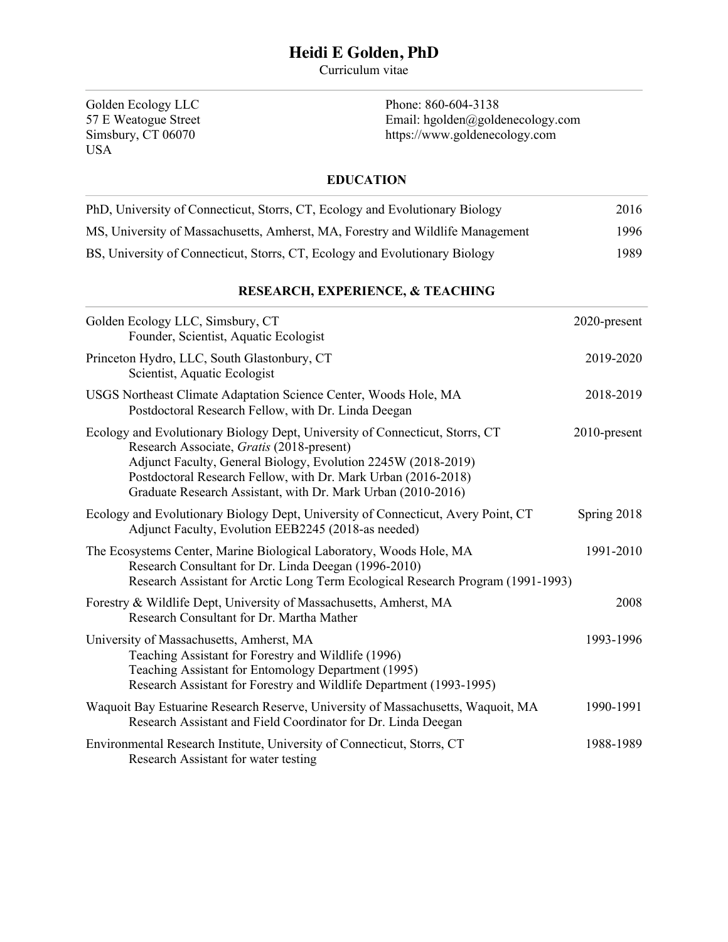# **Heidi E Golden, PhD**

Curriculum vitae

Golden Ecology LLC 57 E Weatogue Street Simsbury, CT 06070 USA

Phone: 860-604-3138 Email: hgolden@goldenecology.com https://www.goldenecology.com

## **EDUCATION**

| PhD, University of Connecticut, Storrs, CT, Ecology and Evolutionary Biology   | 2016  |
|--------------------------------------------------------------------------------|-------|
| MS, University of Massachusetts, Amherst, MA, Forestry and Wildlife Management | 1996  |
| BS, University of Connecticut, Storrs, CT, Ecology and Evolutionary Biology    | 1989. |

## **RESEARCH, EXPERIENCE, & TEACHING**

| Golden Ecology LLC, Simsbury, CT<br>Founder, Scientist, Aquatic Ecologist                                                                                                                                                                                                                                                   | 2020-present |
|-----------------------------------------------------------------------------------------------------------------------------------------------------------------------------------------------------------------------------------------------------------------------------------------------------------------------------|--------------|
| Princeton Hydro, LLC, South Glastonbury, CT<br>Scientist, Aquatic Ecologist                                                                                                                                                                                                                                                 | 2019-2020    |
| USGS Northeast Climate Adaptation Science Center, Woods Hole, MA<br>Postdoctoral Research Fellow, with Dr. Linda Deegan                                                                                                                                                                                                     | 2018-2019    |
| Ecology and Evolutionary Biology Dept, University of Connecticut, Storrs, CT<br>Research Associate, Gratis (2018-present)<br>Adjunct Faculty, General Biology, Evolution 2245W (2018-2019)<br>Postdoctoral Research Fellow, with Dr. Mark Urban (2016-2018)<br>Graduate Research Assistant, with Dr. Mark Urban (2010-2016) | 2010-present |
| Ecology and Evolutionary Biology Dept, University of Connecticut, Avery Point, CT<br>Adjunct Faculty, Evolution EEB2245 (2018-as needed)                                                                                                                                                                                    | Spring 2018  |
| The Ecosystems Center, Marine Biological Laboratory, Woods Hole, MA<br>Research Consultant for Dr. Linda Deegan (1996-2010)<br>Research Assistant for Arctic Long Term Ecological Research Program (1991-1993)                                                                                                              | 1991-2010    |
| Forestry & Wildlife Dept, University of Massachusetts, Amherst, MA<br>Research Consultant for Dr. Martha Mather                                                                                                                                                                                                             | 2008         |
| University of Massachusetts, Amherst, MA<br>Teaching Assistant for Forestry and Wildlife (1996)<br>Teaching Assistant for Entomology Department (1995)<br>Research Assistant for Forestry and Wildlife Department (1993-1995)                                                                                               | 1993-1996    |
| Waquoit Bay Estuarine Research Reserve, University of Massachusetts, Waquoit, MA<br>Research Assistant and Field Coordinator for Dr. Linda Deegan                                                                                                                                                                           | 1990-1991    |
| Environmental Research Institute, University of Connecticut, Storrs, CT<br>Research Assistant for water testing                                                                                                                                                                                                             | 1988-1989    |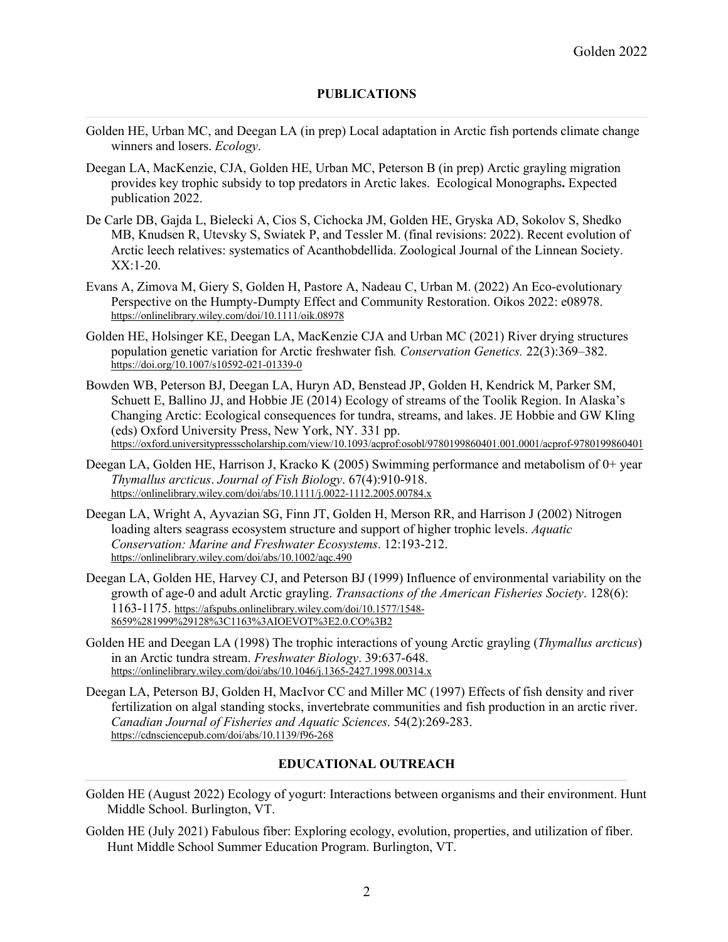#### **PUBLICATIONS**

- Golden HE, Urban MC, and Deegan LA (in prep) Local adaptation in Arctic fish portends climate change winners and losers. *Ecology*.
- Deegan LA, MacKenzie, CJA, Golden HE, Urban MC, Peterson B (in prep) Arctic grayling migration provides key trophic subsidy to top predators in Arctic lakes. Ecological Monographs**.** Expected publication 2022.
- De Carle DB, Gajda L, Bielecki A, Cios S, Cichocka JM, Golden HE, Gryska AD, Sokolov S, Shedko MB, Knudsen R, Utevsky S, Swiatek P, and Tessler M. (final revisions: 2022). Recent evolution of Arctic leech relatives: systematics of Acanthobdellida. Zoological Journal of the Linnean Society.  $XX:1-20.$
- Evans A, Zimova M, Giery S, Golden H, Pastore A, Nadeau C, Urban M. (2022) An Eco-evolutionary Perspective on the Humpty-Dumpty Effect and Community Restoration. Oikos 2022: e08978. https://onlinelibrary.wiley.com/doi/10.1111/oik.08978
- Golden HE, Holsinger KE, Deegan LA, MacKenzie CJA and Urban MC (2021) River drying structures population genetic variation for Arctic freshwater fish*. Conservation Genetics.* 22(3):369–382. https://doi.org/10.1007/s10592-021-01339-0
- Bowden WB, Peterson BJ, Deegan LA, Huryn AD, Benstead JP, Golden H, Kendrick M, Parker SM, Schuett E, Ballino JJ, and Hobbie JE (2014) Ecology of streams of the Toolik Region. In Alaska's Changing Arctic: Ecological consequences for tundra, streams, and lakes. JE Hobbie and GW Kling (eds) Oxford University Press, New York, NY. 331 pp. https://oxford.universitypressscholarship.com/view/10.1093/acprof:osobl/9780199860401.001.0001/acprof-9780199860401
- Deegan LA, Golden HE, Harrison J, Kracko K (2005) Swimming performance and metabolism of 0+ year *Thymallus arcticus*. *Journal of Fish Biology*. 67(4):910-918. https://onlinelibrary.wiley.com/doi/abs/10.1111/j.0022-1112.2005.00784.x
- Deegan LA, Wright A, Ayvazian SG, Finn JT, Golden H, Merson RR, and Harrison J (2002) Nitrogen loading alters seagrass ecosystem structure and support of higher trophic levels. *Aquatic Conservation: Marine and Freshwater Ecosystems*. 12:193-212. https://onlinelibrary.wiley.com/doi/abs/10.1002/aqc.490
- Deegan LA, Golden HE, Harvey CJ, and Peterson BJ (1999) Influence of environmental variability on the growth of age-0 and adult Arctic grayling. *Transactions of the American Fisheries Society*. 128(6): 1163-1175. https://afspubs.onlinelibrary.wiley.com/doi/10.1577/1548- 8659%281999%29128%3C1163%3AIOEVOT%3E2.0.CO%3B2
- Golden HE and Deegan LA (1998) The trophic interactions of young Arctic grayling (*Thymallus arcticus*) in an Arctic tundra stream. *Freshwater Biology*. 39:637-648. https://onlinelibrary.wiley.com/doi/abs/10.1046/j.1365-2427.1998.00314.x
- Deegan LA, Peterson BJ, Golden H, MacIvor CC and Miller MC (1997) Effects of fish density and river fertilization on algal standing stocks, invertebrate communities and fish production in an arctic river. *Canadian Journal of Fisheries and Aquatic Sciences*. 54(2):269-283. https://cdnsciencepub.com/doi/abs/10.1139/f96-268

## **EDUCATIONAL OUTREACH**

- Golden HE (August 2022) Ecology of yogurt: Interactions between organisms and their environment. Hunt Middle School. Burlington, VT.
- Golden HE (July 2021) Fabulous fiber: Exploring ecology, evolution, properties, and utilization of fiber. Hunt Middle School Summer Education Program. Burlington, VT.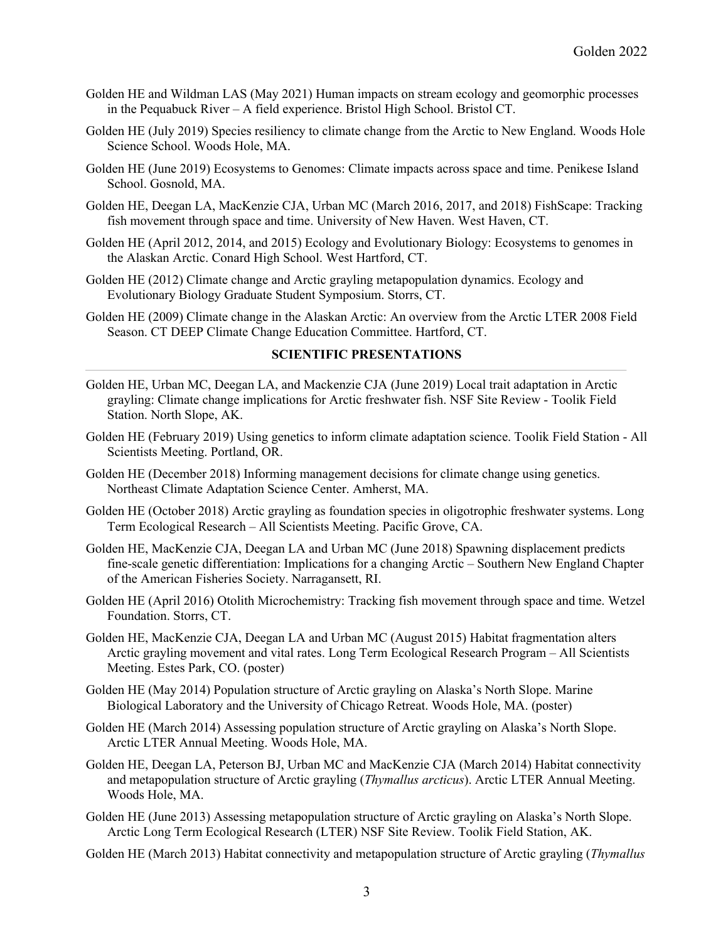- Golden HE and Wildman LAS (May 2021) Human impacts on stream ecology and geomorphic processes in the Pequabuck River – A field experience. Bristol High School. Bristol CT.
- Golden HE (July 2019) Species resiliency to climate change from the Arctic to New England. Woods Hole Science School. Woods Hole, MA.
- Golden HE (June 2019) Ecosystems to Genomes: Climate impacts across space and time. Penikese Island School. Gosnold, MA.
- Golden HE, Deegan LA, MacKenzie CJA, Urban MC (March 2016, 2017, and 2018) FishScape: Tracking fish movement through space and time. University of New Haven. West Haven, CT.
- Golden HE (April 2012, 2014, and 2015) Ecology and Evolutionary Biology: Ecosystems to genomes in the Alaskan Arctic. Conard High School. West Hartford, CT.
- Golden HE (2012) Climate change and Arctic grayling metapopulation dynamics. Ecology and Evolutionary Biology Graduate Student Symposium. Storrs, CT.
- Golden HE (2009) Climate change in the Alaskan Arctic: An overview from the Arctic LTER 2008 Field Season. CT DEEP Climate Change Education Committee. Hartford, CT.

## **SCIENTIFIC PRESENTATIONS**

- Golden HE, Urban MC, Deegan LA, and Mackenzie CJA (June 2019) Local trait adaptation in Arctic grayling: Climate change implications for Arctic freshwater fish. NSF Site Review - Toolik Field Station. North Slope, AK.
- Golden HE (February 2019) Using genetics to inform climate adaptation science. Toolik Field Station All Scientists Meeting. Portland, OR.
- Golden HE (December 2018) Informing management decisions for climate change using genetics. Northeast Climate Adaptation Science Center. Amherst, MA.
- Golden HE (October 2018) Arctic grayling as foundation species in oligotrophic freshwater systems. Long Term Ecological Research – All Scientists Meeting. Pacific Grove, CA.
- Golden HE, MacKenzie CJA, Deegan LA and Urban MC (June 2018) Spawning displacement predicts fine-scale genetic differentiation: Implications for a changing Arctic – Southern New England Chapter of the American Fisheries Society. Narragansett, RI.
- Golden HE (April 2016) Otolith Microchemistry: Tracking fish movement through space and time. Wetzel Foundation. Storrs, CT.
- Golden HE, MacKenzie CJA, Deegan LA and Urban MC (August 2015) Habitat fragmentation alters Arctic grayling movement and vital rates. Long Term Ecological Research Program – All Scientists Meeting. Estes Park, CO. (poster)
- Golden HE (May 2014) Population structure of Arctic grayling on Alaska's North Slope. Marine Biological Laboratory and the University of Chicago Retreat. Woods Hole, MA. (poster)
- Golden HE (March 2014) Assessing population structure of Arctic grayling on Alaska's North Slope. Arctic LTER Annual Meeting. Woods Hole, MA.
- Golden HE, Deegan LA, Peterson BJ, Urban MC and MacKenzie CJA (March 2014) Habitat connectivity and metapopulation structure of Arctic grayling (*Thymallus arcticus*). Arctic LTER Annual Meeting. Woods Hole, MA.
- Golden HE (June 2013) Assessing metapopulation structure of Arctic grayling on Alaska's North Slope. Arctic Long Term Ecological Research (LTER) NSF Site Review. Toolik Field Station, AK.

Golden HE (March 2013) Habitat connectivity and metapopulation structure of Arctic grayling (*Thymallus*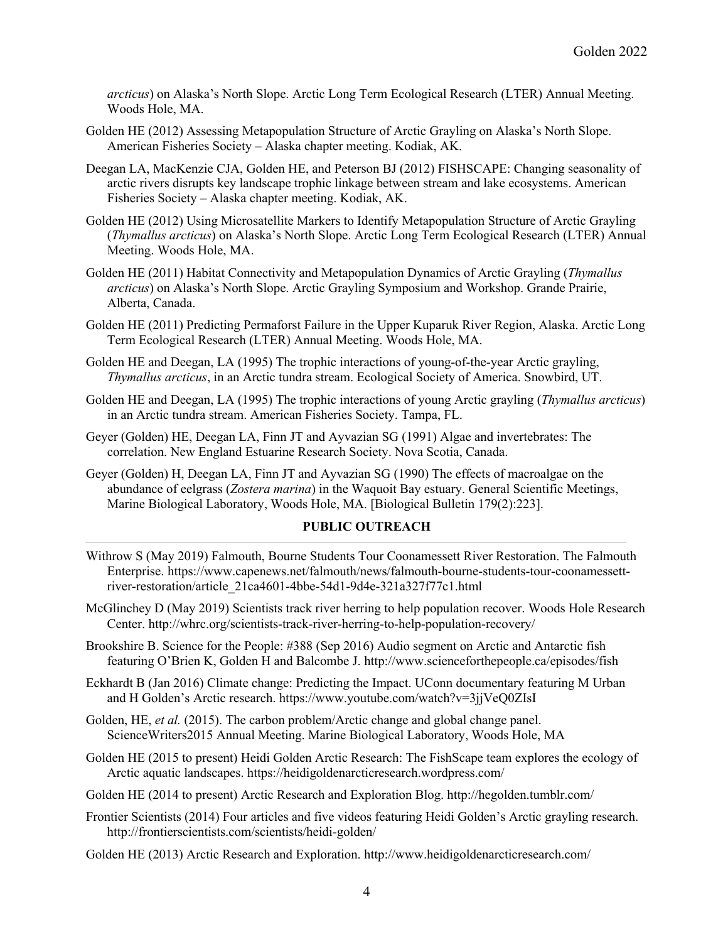*arcticus*) on Alaska's North Slope. Arctic Long Term Ecological Research (LTER) Annual Meeting. Woods Hole, MA.

- Golden HE (2012) Assessing Metapopulation Structure of Arctic Grayling on Alaska's North Slope. American Fisheries Society – Alaska chapter meeting. Kodiak, AK.
- Deegan LA, MacKenzie CJA, Golden HE, and Peterson BJ (2012) FISHSCAPE: Changing seasonality of arctic rivers disrupts key landscape trophic linkage between stream and lake ecosystems. American Fisheries Society – Alaska chapter meeting. Kodiak, AK.
- Golden HE (2012) Using Microsatellite Markers to Identify Metapopulation Structure of Arctic Grayling (*Thymallus arcticus*) on Alaska's North Slope. Arctic Long Term Ecological Research (LTER) Annual Meeting. Woods Hole, MA.
- Golden HE (2011) Habitat Connectivity and Metapopulation Dynamics of Arctic Grayling (*Thymallus arcticus*) on Alaska's North Slope. Arctic Grayling Symposium and Workshop. Grande Prairie, Alberta, Canada.
- Golden HE (2011) Predicting Permaforst Failure in the Upper Kuparuk River Region, Alaska. Arctic Long Term Ecological Research (LTER) Annual Meeting. Woods Hole, MA.
- Golden HE and Deegan, LA (1995) The trophic interactions of young-of-the-year Arctic grayling, *Thymallus arcticus*, in an Arctic tundra stream. Ecological Society of America. Snowbird, UT.
- Golden HE and Deegan, LA (1995) The trophic interactions of young Arctic grayling (*Thymallus arcticus*) in an Arctic tundra stream. American Fisheries Society. Tampa, FL.
- Geyer (Golden) HE, Deegan LA, Finn JT and Ayvazian SG (1991) Algae and invertebrates: The correlation. New England Estuarine Research Society. Nova Scotia, Canada.
- Geyer (Golden) H, Deegan LA, Finn JT and Ayvazian SG (1990) The effects of macroalgae on the abundance of eelgrass (*Zostera marina*) in the Waquoit Bay estuary. General Scientific Meetings, Marine Biological Laboratory, Woods Hole, MA. [Biological Bulletin 179(2):223].

## **PUBLIC OUTREACH**

- Withrow S (May 2019) Falmouth, Bourne Students Tour Coonamessett River Restoration. The Falmouth Enterprise. https://www.capenews.net/falmouth/news/falmouth-bourne-students-tour-coonamessettriver-restoration/article\_21ca4601-4bbe-54d1-9d4e-321a327f77c1.html
- McGlinchey D (May 2019) Scientists track river herring to help population recover. Woods Hole Research Center. http://whrc.org/scientists-track-river-herring-to-help-population-recovery/
- Brookshire B. Science for the People: #388 (Sep 2016) Audio segment on Arctic and Antarctic fish featuring O'Brien K, Golden H and Balcombe J. http://www.scienceforthepeople.ca/episodes/fish
- Eckhardt B (Jan 2016) Climate change: Predicting the Impact. UConn documentary featuring M Urban and H Golden's Arctic research. https://www.youtube.com/watch?v=3jjVeQ0ZIsI
- Golden, HE, *et al.* (2015). The carbon problem/Arctic change and global change panel. ScienceWriters2015 Annual Meeting. Marine Biological Laboratory, Woods Hole, MA
- Golden HE (2015 to present) Heidi Golden Arctic Research: The FishScape team explores the ecology of Arctic aquatic landscapes. https://heidigoldenarcticresearch.wordpress.com/
- Golden HE (2014 to present) Arctic Research and Exploration Blog. http://hegolden.tumblr.com/
- Frontier Scientists (2014) Four articles and five videos featuring Heidi Golden's Arctic grayling research. http://frontierscientists.com/scientists/heidi-golden/
- Golden HE (2013) Arctic Research and Exploration. http://www.heidigoldenarcticresearch.com/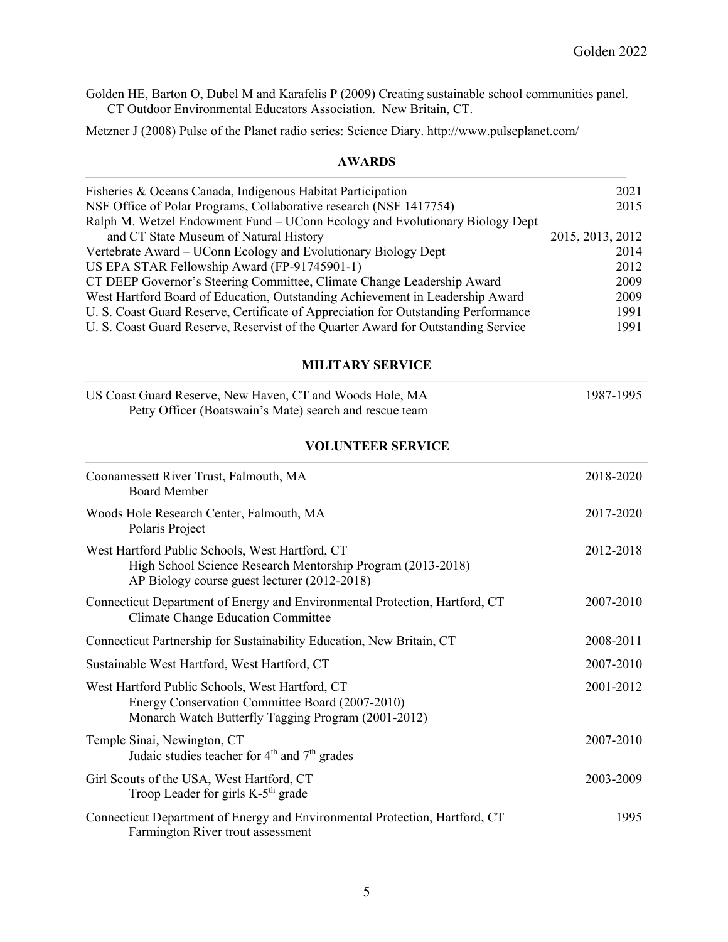Golden HE, Barton O, Dubel M and Karafelis P (2009) Creating sustainable school communities panel. CT Outdoor Environmental Educators Association. New Britain, CT.

Metzner J (2008) Pulse of the Planet radio series: Science Diary. http://www.pulseplanet.com/

#### **AWARDS**

| Fisheries & Oceans Canada, Indigenous Habitat Participation                        | 2021             |
|------------------------------------------------------------------------------------|------------------|
| NSF Office of Polar Programs, Collaborative research (NSF 1417754)                 | 2015             |
| Ralph M. Wetzel Endowment Fund – UConn Ecology and Evolutionary Biology Dept       |                  |
| and CT State Museum of Natural History                                             | 2015, 2013, 2012 |
| Vertebrate Award - UConn Ecology and Evolutionary Biology Dept                     | 2014             |
| US EPA STAR Fellowship Award (FP-91745901-1)                                       | 2012             |
| CT DEEP Governor's Steering Committee, Climate Change Leadership Award             | 2009             |
| West Hartford Board of Education, Outstanding Achievement in Leadership Award      | 2009             |
| U. S. Coast Guard Reserve, Certificate of Appreciation for Outstanding Performance | 1991             |
| U. S. Coast Guard Reserve, Reservist of the Quarter Award for Outstanding Service  | 1991             |

#### **MILITARY SERVICE**

| US Coast Guard Reserve, New Haven, CT and Woods Hole, MA | 1987-1995 |
|----------------------------------------------------------|-----------|
| Petty Officer (Boatswain's Mate) search and rescue team  |           |

### **VOLUNTEER SERVICE**

| Coonamessett River Trust, Falmouth, MA<br><b>Board Member</b>                                                                                                  | 2018-2020 |
|----------------------------------------------------------------------------------------------------------------------------------------------------------------|-----------|
| Woods Hole Research Center, Falmouth, MA<br>Polaris Project                                                                                                    | 2017-2020 |
| West Hartford Public Schools, West Hartford, CT<br>High School Science Research Mentorship Program (2013-2018)<br>AP Biology course guest lecturer (2012-2018) | 2012-2018 |
| Connecticut Department of Energy and Environmental Protection, Hartford, CT<br><b>Climate Change Education Committee</b>                                       | 2007-2010 |
| Connecticut Partnership for Sustainability Education, New Britain, CT                                                                                          | 2008-2011 |
| Sustainable West Hartford, West Hartford, CT                                                                                                                   | 2007-2010 |
| West Hartford Public Schools, West Hartford, CT<br>Energy Conservation Committee Board (2007-2010)<br>Monarch Watch Butterfly Tagging Program (2001-2012)      | 2001-2012 |
| Temple Sinai, Newington, CT<br>Judaic studies teacher for $4th$ and $7th$ grades                                                                               | 2007-2010 |
| Girl Scouts of the USA, West Hartford, CT<br>Troop Leader for girls $K-5th$ grade                                                                              | 2003-2009 |
| Connecticut Department of Energy and Environmental Protection, Hartford, CT<br>Farmington River trout assessment                                               | 1995      |